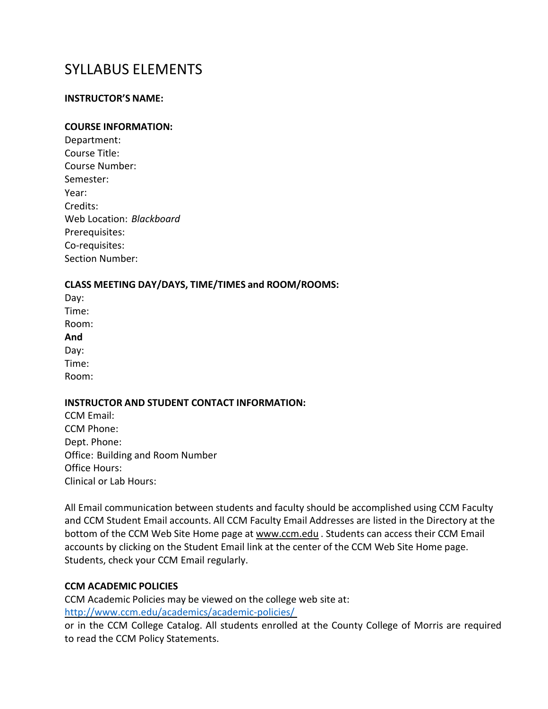# SYLLABUS ELEMENTS

#### **INSTRUCTOR'S NAME:**

#### **COURSE INFORMATION:**

| Department:              |
|--------------------------|
| Course Title:            |
| Course Number:           |
| Semester:                |
| Year:                    |
| Credits:                 |
| Web Location: Blackboard |
| Prerequisites:           |
| Co-requisites:           |
| <b>Section Number:</b>   |

#### **CLASS MEETING DAY/DAYS, TIME/TIMES and ROOM/ROOMS:**

Day: Time: Room: **And**  Day: Time: Room:

## **INSTRUCTOR AND STUDENT CONTACT INFORMATION:**

CCM Email: CCM Phone: Dept. Phone: Office: Building and Room Number Office Hours: Clinical or Lab Hours:

All Email communication between students and faculty should be accomplished using CCM Faculty and CCM Student Email accounts. All CCM Faculty Email Addresses are listed in the Directory at the bottom of the CCM Web Site Home page at [www.ccm.edu](http://www.ccm.edu/). Students can access their CCM Email accounts by clicking on the Student Email link at the center of the CCM Web Site Home page. Students, check your CCM Email regularly.

### **CCM ACADEMIC POLICIES**

CCM Academic Policies may be viewed on the college web site at: <http://www.ccm.edu/academics/academic-policies/>

or in the CCM College Catalog. All students enrolled at the County College of Morris are required to read the CCM Policy Statements.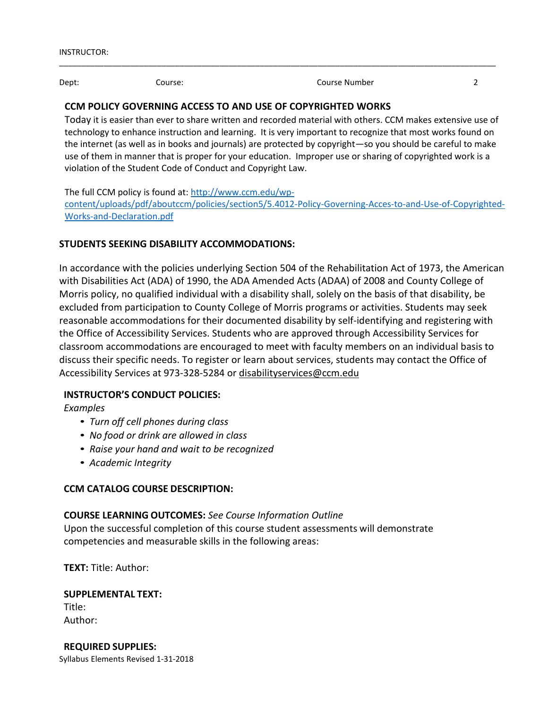Dept: Course: Course: Course Number 2

### **CCM POLICY GOVERNING ACCESS TO AND USE OF COPYRIGHTED WORKS**

Today it is easier than ever to share written and recorded material with others. CCM makes extensive use of technology to enhance instruction and learning. It is very important to recognize that most works found on the internet (as well as in books and journals) are protected by copyright—so you should be careful to make use of them in manner that is proper for your education. Improper use or sharing of copyrighted work is a violation of the Student Code of Conduct and Copyright Law.

\_\_\_\_\_\_\_\_\_\_\_\_\_\_\_\_\_\_\_\_\_\_\_\_\_\_\_\_\_\_\_\_\_\_\_\_\_\_\_\_\_\_\_\_\_\_\_\_\_\_\_\_\_\_\_\_\_\_\_\_\_\_\_\_\_\_\_\_\_\_\_\_\_\_\_\_\_\_\_\_\_\_\_\_\_\_\_\_\_\_\_\_\_\_\_\_\_\_

The full CCM policy is found at: [http://www.ccm.edu/wp](http://www.ccm.edu/wp-content/uploads/pdf/aboutccm/policies/section5/5.4012-Policy-Governing-Acces-to-and-Use-of-Copyrighted-Works-and-Declaration.pdf)[content/uploads/pdf/aboutccm/policies/section5/5.4012-Policy-Governing-Acces-to-and-Use-of-Copyrighted-](http://www.ccm.edu/wp-content/uploads/pdf/aboutccm/policies/section5/5.4012-Policy-Governing-Acces-to-and-Use-of-Copyrighted-Works-and-Declaration.pdf)[Works-and-Declaration.pdf](http://www.ccm.edu/wp-content/uploads/pdf/aboutccm/policies/section5/5.4012-Policy-Governing-Acces-to-and-Use-of-Copyrighted-Works-and-Declaration.pdf)

### **STUDENTS SEEKING DISABILITY ACCOMMODATIONS:**

In accordance with the policies underlying Section 504 of the Rehabilitation Act of 1973, the American with Disabilities Act (ADA) of 1990, the ADA Amended Acts (ADAA) of 2008 and County College of Morris policy, no qualified individual with a disability shall, solely on the basis of that disability, be excluded from participation to County College of Morris programs or activities. Students may seek reasonable accommodations for their documented disability by self-identifying and registering with the Office of Accessibility Services. Students who are approved through Accessibility Services for classroom accommodations are encouraged to meet with faculty members on an individual basis to discuss their specific needs. To register or learn about services, students may contact the Office of Accessibility Services at 973-328-5284 or [disabilityservices@ccm.edu](mailto:disabilityservices@ccm.edu)

### **INSTRUCTOR'S CONDUCT POLICIES:**

*Examples*

- *Turn off cell phones during class*
- *No food or drink are allowed in class*
- *Raise your hand and wait to be recognized*
- *Academic Integrity*

### **CCM CATALOG COURSE DESCRIPTION:**

#### **COURSE LEARNING OUTCOMES:** *See Course Information Outline*

Upon the successful completion of this course student assessments will demonstrate competencies and measurable skills in the following areas:

**TEXT:** Title: Author:

**SUPPLEMENTAL TEXT:** Title: Author:

Syllabus Elements Revised 1-31-2018 **REQUIRED SUPPLIES:**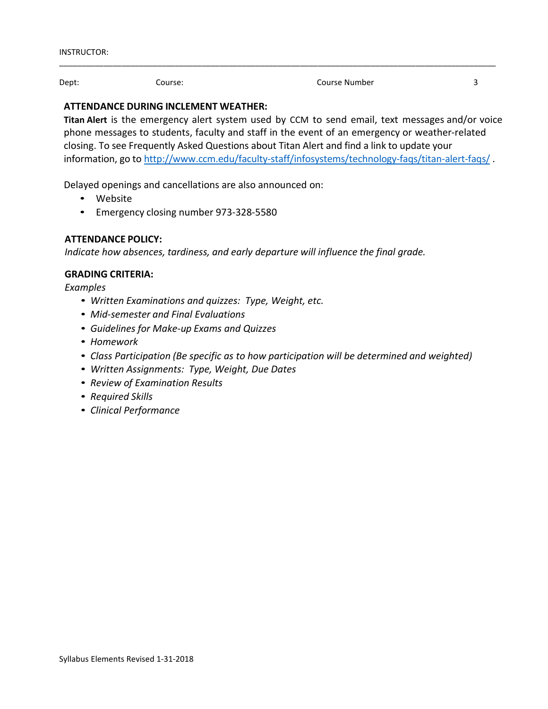Dept: Course: Course: Course Number 3

### **ATTENDANCE DURING INCLEMENT WEATHER:**

**Titan Alert** is the emergency alert system used by CCM to send email, text messages and/or voice phone messages to students, faculty and staff in the event of an emergency or weather-related closing. To see Frequently Asked Questions about Titan Alert and find a link to update your information, go to <http://www.ccm.edu/faculty-staff/infosystems/technology-faqs/titan-alert-faqs/> .

\_\_\_\_\_\_\_\_\_\_\_\_\_\_\_\_\_\_\_\_\_\_\_\_\_\_\_\_\_\_\_\_\_\_\_\_\_\_\_\_\_\_\_\_\_\_\_\_\_\_\_\_\_\_\_\_\_\_\_\_\_\_\_\_\_\_\_\_\_\_\_\_\_\_\_\_\_\_\_\_\_\_\_\_\_\_\_\_\_\_\_\_\_\_\_\_\_\_

Delayed openings and cancellations are also announced on:

- Website
- Emergency closing number 973-328-5580

## **ATTENDANCE POLICY:**

*Indicate how absences, tardiness, and early departure will influence the final grade.*

### **GRADING CRITERIA:**

*Examples*

- *Written Examinations and quizzes: Type, Weight, etc.*
- *Mid-semester and Final Evaluations*
- *Guidelines for Make-up Exams and Quizzes*
- *Homework*
- *Class Participation (Be specific as to how participation will be determined and weighted)*
- *Written Assignments: Type, Weight, Due Dates*
- *Review of Examination Results*
- *Required Skills*
- *Clinical Performance*